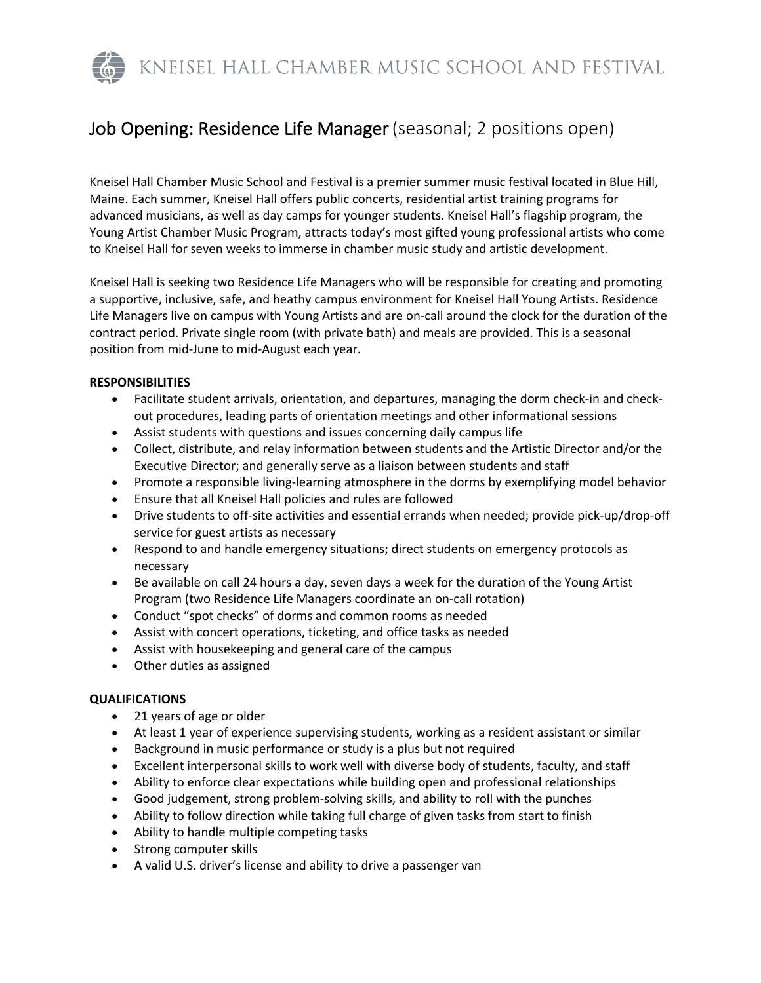KNEISEL HALL CHAMBER MUSIC SCHOOL AND FESTIVAL

# Job Opening: Residence Life Manager(seasonal; 2 positions open)

Kneisel Hall Chamber Music School and Festival is a premier summer music festival located in Blue Hill, Maine. Each summer, Kneisel Hall offers public concerts, residential artist training programs for advanced musicians, as well as day camps for younger students. Kneisel Hall's flagship program, the Young Artist Chamber Music Program, attracts today's most gifted young professional artists who come to Kneisel Hall for seven weeks to immerse in chamber music study and artistic development.

Kneisel Hall is seeking two Residence Life Managers who will be responsible for creating and promoting a supportive, inclusive, safe, and heathy campus environment for Kneisel Hall Young Artists. Residence Life Managers live on campus with Young Artists and are on-call around the clock for the duration of the contract period. Private single room (with private bath) and meals are provided. This is a seasonal position from mid-June to mid-August each year.

#### **RESPONSIBILITIES**

- Facilitate student arrivals, orientation, and departures, managing the dorm check-in and checkout procedures, leading parts of orientation meetings and other informational sessions
- Assist students with questions and issues concerning daily campus life
- Collect, distribute, and relay information between students and the Artistic Director and/or the Executive Director; and generally serve as a liaison between students and staff
- Promote a responsible living-learning atmosphere in the dorms by exemplifying model behavior
- Ensure that all Kneisel Hall policies and rules are followed
- Drive students to off-site activities and essential errands when needed; provide pick-up/drop-off service for guest artists as necessary
- Respond to and handle emergency situations; direct students on emergency protocols as necessary
- Be available on call 24 hours a day, seven days a week for the duration of the Young Artist Program (two Residence Life Managers coordinate an on-call rotation)
- Conduct "spot checks" of dorms and common rooms as needed
- Assist with concert operations, ticketing, and office tasks as needed
- Assist with housekeeping and general care of the campus
- Other duties as assigned

#### **QUALIFICATIONS**

- 21 years of age or older
- At least 1 year of experience supervising students, working as a resident assistant or similar
- Background in music performance or study is a plus but not required
- Excellent interpersonal skills to work well with diverse body of students, faculty, and staff
- Ability to enforce clear expectations while building open and professional relationships
- Good judgement, strong problem-solving skills, and ability to roll with the punches
- Ability to follow direction while taking full charge of given tasks from start to finish
- Ability to handle multiple competing tasks
- Strong computer skills
- A valid U.S. driver's license and ability to drive a passenger van